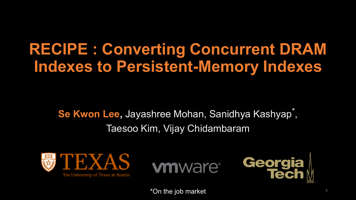### **RECIPE : Converting Concurrent DRAM Indexes to Persistent-Memory Indexes**

Se Kwon Lee, Jayashree Mohan, Sanidhya Kashyap<sup>\*</sup>, Taesoo Kim, Vijay Chidambaram







\*On the job market <sup>1</sup>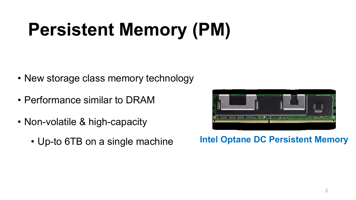# **Persistent Memory (PM)**

- New storage class memory technology
- Performance similar to DRAM
- Non-volatile & high-capacity
	- Up-to 6TB on a single machine



#### **Intel Optane DC Persistent Memory**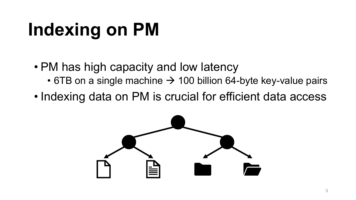# **Indexing on PM**

- PM has high capacity and low latency
	- 6TB on a single machine  $\rightarrow$  100 billion 64-byte key-value pairs
- Indexing data on PM is crucial for efficient data access

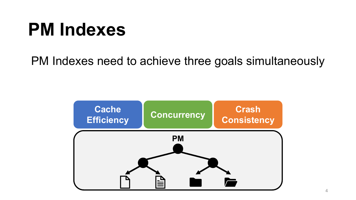PM Indexes need to achieve three goals simultaneously

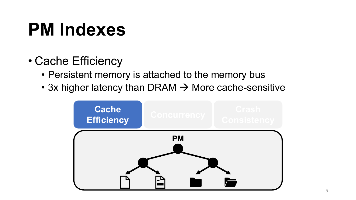- Cache Efficiency
	- Persistent memory is attached to the memory bus
	- 3x higher latency than DRAM  $\rightarrow$  More cache-sensitive

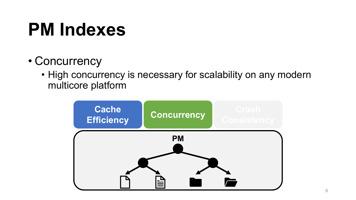- Concurrency
	- High concurrency is necessary for scalability on any modern multicore platform

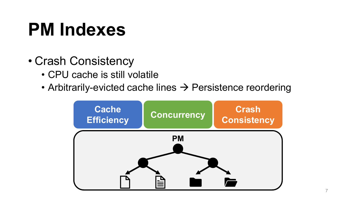- Crash Consistency
	- CPU cache is still volatile
	- Arbitrarily-evicted cache lines  $\rightarrow$  Persistence reordering

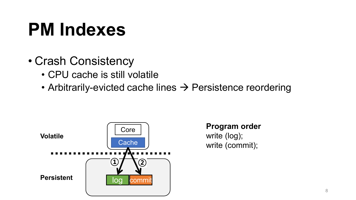- Crash Consistency
	- CPU cache is still volatile
	- Arbitrarily-evicted cache lines  $\rightarrow$  Persistence reordering



**Program order** write (log); write (commit);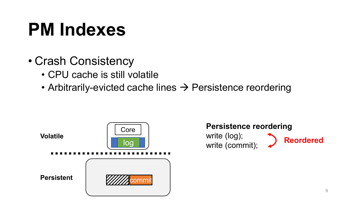- Crash Consistency
	- CPU cache is still volatile
	- Arbitrarily-evicted cache lines  $\rightarrow$  Persistence reordering



**Persistence reordering** write (log); write (log), **Deordered**<br>write (commit); **Department**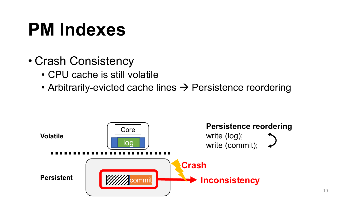- Crash Consistency
	- CPU cache is still volatile
	- Arbitrarily-evicted cache lines  $\rightarrow$  Persistence reordering

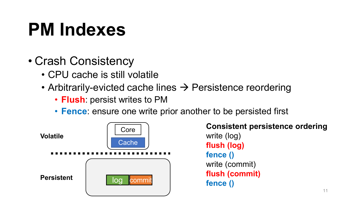- Crash Consistency
	- CPU cache is still volatile
	- Arbitrarily-evicted cache lines  $\rightarrow$  Persistence reordering
		- **Flush**: persist writes to PM
		- **Fence**: ensure one write prior another to be persisted first

**Volatile**



**Persistent log commit** 

**Consistent persistence ordering** write (log) **flush (log) fence ()** write (commit) **flush (commit) fence ()**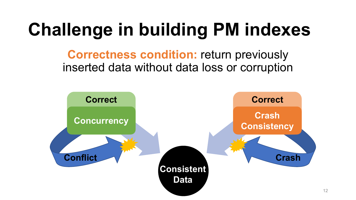## **Challenge in building PM indexes**

**Correctness condition: return previously** inserted data without data loss or corruption

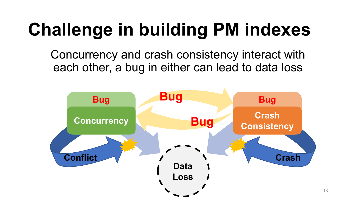## **Challenge in building PM indexes**

Concurrency and crash consistency interact with each other, a bug in either can lead to data loss

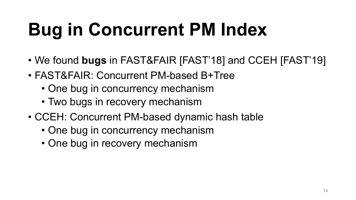# **Bug in Concurrent PM Index**

- We found **bugs** in FAST&FAIR [FAST'18] and CCEH [FAST'19]
- FAST&FAIR: Concurrent PM-based B+Tree
	- One bug in concurrency mechanism
	- Two bugs in recovery mechanism
- CCEH: Concurrent PM-based dynamic hash table
	- One bug in concurrency mechanism
	- One bug in recovery mechanism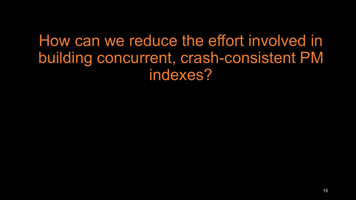How can we reduce the effort involved in building concurrent, crash-consistent PM indexes?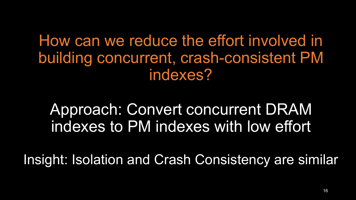How can we reduce the effort involved in building concurrent, crash-consistent PM indexes?

Approach: Convert concurrent DRAM indexes to PM indexes with low effort

Insight: Isolation and Crash Consistency are similar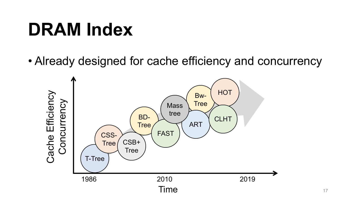### **DRAM Index**

• Already designed for cache efficiency and concurrency

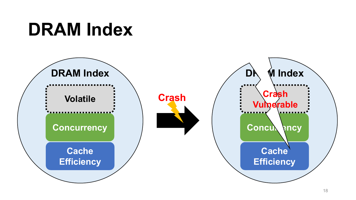### **DRAM Index**

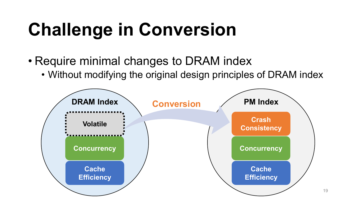## **Challenge in Conversion**

- Require minimal changes to DRAM index
	- Without modifying the original design principles of DRAM index



19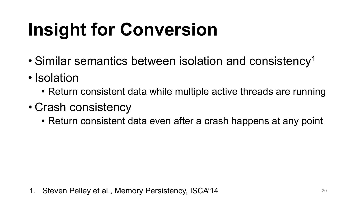# **Insight for Conversion**

- Similar semantics between isolation and consistency<sup>1</sup>
- Isolation
	- Return consistent data while multiple active threads are running
- Crash consistency
	- Return consistent data even after a crash happens at any point

1. Steven Pelley et al., Memory Persistency, ISCA'14 **1998 10:43 10:43 10:43 10:44** 20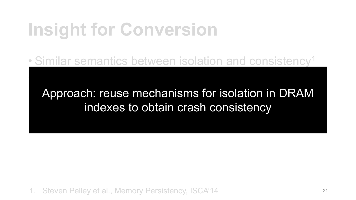### **Insight for Conversion**

• Isolation

• Similar semantics between isolation and consistency<sup>1</sup>

Approach: reuse mechanisms for isolation in DRAM indexes to obtain crash consistency

1. Steven Pelley et al., Memory Persistency, ISCA'14 <sup>21</sup>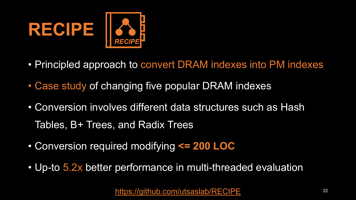

- Principled approach to convert DRAM indexes into PM indexes
- Case study of changing five popular DRAM indexes
- Conversion involves different data structures such as Hash Tables, B+ Trees, and Radix Trees
- Conversion required modifying **<= 200 LOC**
- Up-to 5.2x better performance in multi-threaded evaluation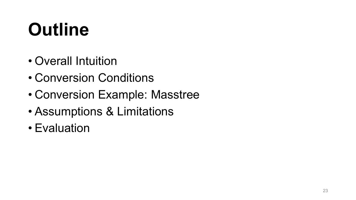## **Outline**

- Overall Intuition
- Conversion Conditions
- Conversion Example: Masstree
- Assumptions & Limitations
- Evaluation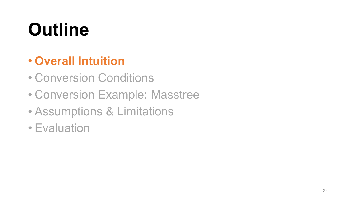## **Outline**

#### • **Overall Intuition**

- Conversion Conditions
- Conversion Example: Masstree
- Assumptions & Limitations
- Evaluation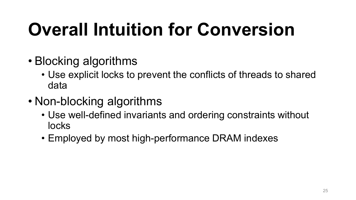- Blocking algorithms
	- Use explicit locks to prevent the conflicts of threads to shared data
- Non-blocking algorithms
	- Use well-defined invariants and ordering constraints without locks
	- Employed by most high-performance DRAM indexes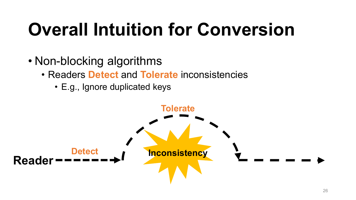- Non-blocking algorithms
	- Readers **Detect** and **Tolerate** inconsistencies
		- E.g., Ignore duplicated keys

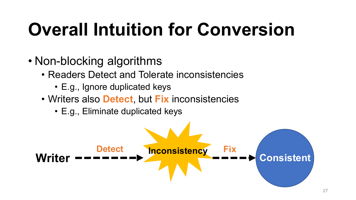- Non-blocking algorithms
	- Readers Detect and Tolerate inconsistencies
		- E.g., Ignore duplicated keys
	- Writers also **Detect**, but **Fix** inconsistencies
		- E.g., Eliminate duplicated keys

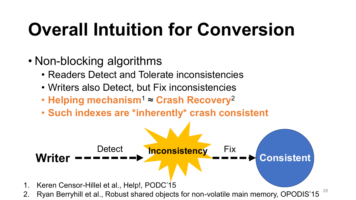- Non-blocking algorithms
	- Readers Detect and Tolerate inconsistencies
	- Writers also Detect, but Fix inconsistencies
	- **Helping mechanism**<sup>1</sup> ≈ **Crash Recovery**<sup>2</sup>
	- **Such indexes are \*inherently\* crash consistent**

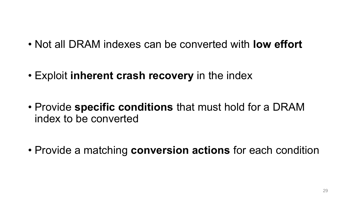- Not all DRAM indexes can be converted with **low effort**
- Exploit **inherent crash recovery** in the index
- Provide **specific conditions** that must hold for a DRAM index to be converted
- Provide a matching **conversion actions** for each condition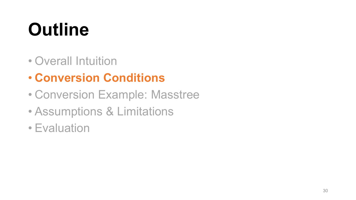## **Outline**

- Overall Intuition
- **Conversion Conditions**
- Conversion Example: Masstree
- Assumptions & Limitations
- Evaluation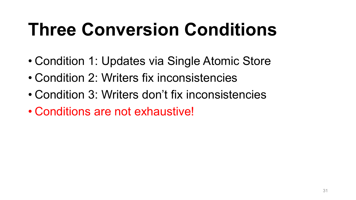## **Three Conversion Conditions**

- Condition 1: Updates via Single Atomic Store
- Condition 2: Writers fix inconsistencies
- Condition 3: Writers don't fix inconsistencies
- Conditions are not exhaustive!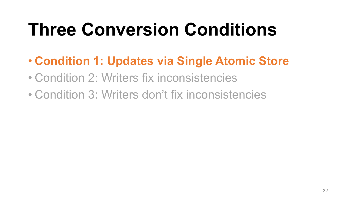## **Three Conversion Conditions**

- **Condition 1: Updates via Single Atomic Store**
- Condition 2: Writers fix inconsistencies
- Condition 3: Writers don't fix inconsistencies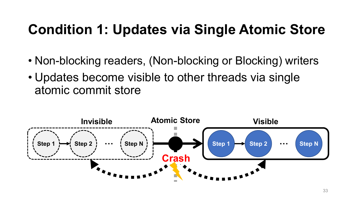### **Condition 1: Updates via Single Atomic Store**

- Non-blocking readers, (Non-blocking or Blocking) writers
- Updates become visible to other threads via single atomic commit store

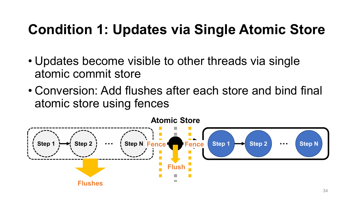### **Condition 1: Updates via Single Atomic Store**

- Updates become visible to other threads via single atomic commit store
- Conversion: Add flushes after each store and bind final atomic store using fences

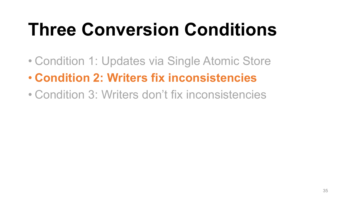## **Three Conversion Conditions**

- Condition 1: Updates via Single Atomic Store
- **Condition 2: Writers fix inconsistencies**
- Condition 3: Writers don't fix inconsistencies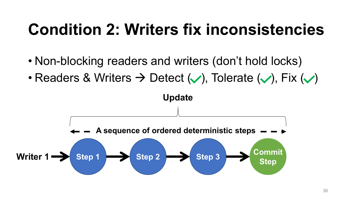- Non-blocking readers and writers (don't hold locks)
- Readers & Writers  $\rightarrow$  Detect  $(\vee)$ , Tolerate  $(\vee)$ , Fix  $(\vee)$

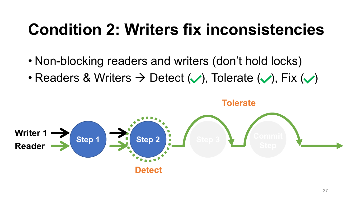- Non-blocking readers and writers (don't hold locks)
- Readers & Writers  $\rightarrow$  Detect  $(\vee)$ , Tolerate  $(\vee)$ , Fix  $(\vee)$



**Tolerate**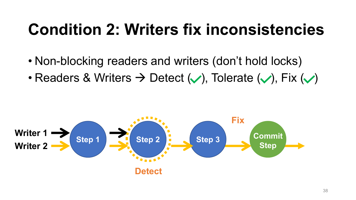- Non-blocking readers and writers (don't hold locks)
- Readers & Writers  $\rightarrow$  Detect  $(\vee)$ , Tolerate  $(\vee)$ , Fix  $(\vee)$

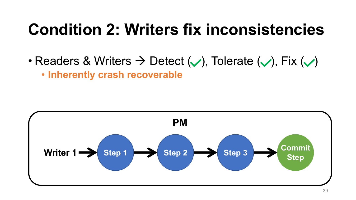• Readers & Writers  $\rightarrow$  Detect  $(\vee)$ , Tolerate  $(\vee)$ , Fix  $(\vee)$ • **Inherently crash recoverable**

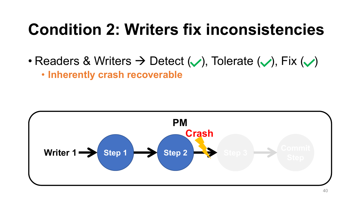• Readers & Writers  $\rightarrow$  Detect  $(\vee)$ , Tolerate  $(\vee)$ , Fix  $(\vee)$ • **Inherently crash recoverable**

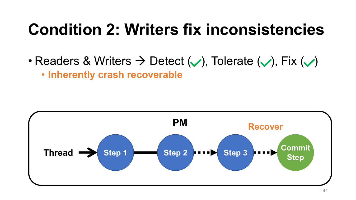• Readers & Writers  $\rightarrow$  Detect  $(\vee)$ , Tolerate  $(\vee)$ , Fix  $(\vee)$ • **Inherently crash recoverable**

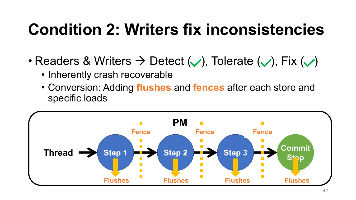- Readers & Writers  $\rightarrow$  Detect  $(\vee)$ , Tolerate  $(\vee)$ , Fix  $(\vee)$ 
	- Inherently crash recoverable
	- Conversion: Adding **flushes** and **fences** after each store and specific loads

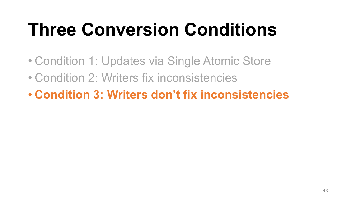## **Three Conversion Conditions**

- Condition 1: Updates via Single Atomic Store
- Condition 2: Writers fix inconsistencies
- **Condition 3: Writers don't fix inconsistencies**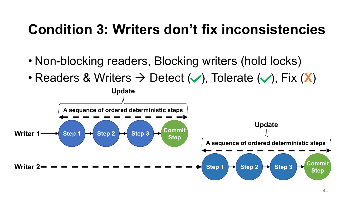- Non-blocking readers, Blocking writers (hold locks)
- Readers & Writers  $\rightarrow$  Detect ( $\vee$ ), Tolerate ( $\vee$ ), Fix (**X**)

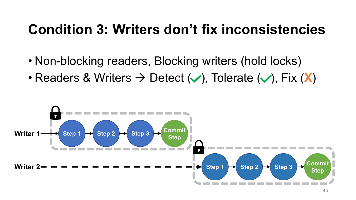- Non-blocking readers, Blocking writers (hold locks)
- Readers & Writers  $\rightarrow$  Detect  $(\vee)$ , Tolerate  $(\vee)$ , Fix  $(\mathbf{X})$

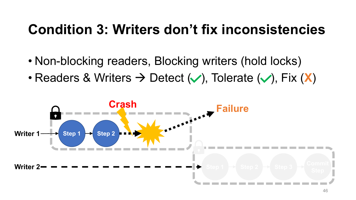- Non-blocking readers, Blocking writers (hold locks)
- Readers & Writers  $\rightarrow$  Detect ( $\vee$ ), Tolerate ( $\vee$ ), Fix (**X**)

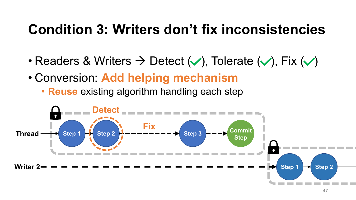- Readers & Writers  $\rightarrow$  Detect ( $\vee$ ), Tolerate ( $\vee$ ), Fix ( $\vee$ )
- Conversion: **Add helping mechanism**
	- **Reuse** existing algorithm handling each step

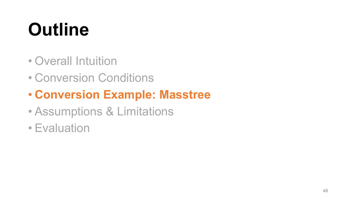## **Outline**

- Overall Intuition
- Conversion Conditions

#### • **Conversion Example: Masstree**

- Assumptions & Limitations
- Evaluation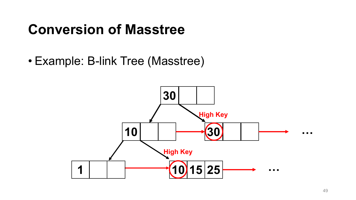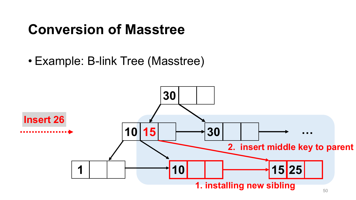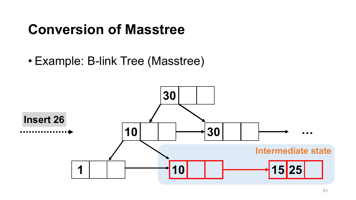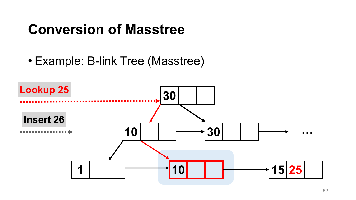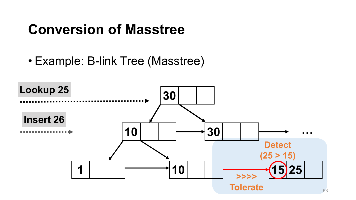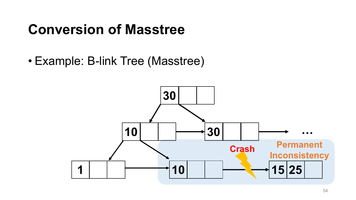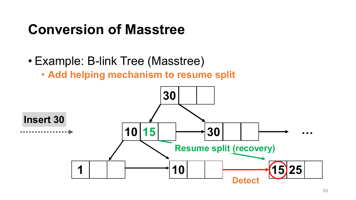- Example: B-link Tree (Masstree)
	- **Add helping mechanism to resume split**

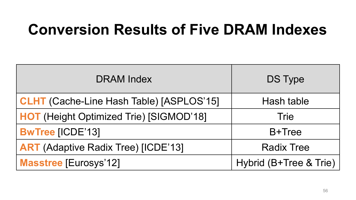### **Conversion Results of Five DRAM Indexes**

| <b>DRAM</b> Index                               | DS Type                |  |
|-------------------------------------------------|------------------------|--|
| <b>CLHT</b> (Cache-Line Hash Table) [ASPLOS'15] | Hash table             |  |
| <b>HOT</b> (Height Optimized Trie) [SIGMOD'18]  | Trie                   |  |
| <b>BwTree [ICDE'13]</b>                         | B+Tree                 |  |
| <b>ART</b> (Adaptive Radix Tree) [ICDE'13]      | <b>Radix Tree</b>      |  |
| <b>Masstree [Eurosys'12]</b>                    | Hybrid (B+Tree & Trie) |  |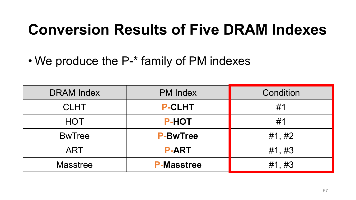### **Conversion Results of Five DRAM Indexes**

• We produce the P-\* family of PM indexes

| <b>DRAM Index</b> | <b>PM Index</b>   | Condition |
|-------------------|-------------------|-----------|
| <b>CLHT</b>       | <b>P-CLHT</b>     | #1        |
| <b>HOT</b>        | <b>P-HOT</b>      | #1        |
| <b>BwTree</b>     | <b>P-BwTree</b>   | #1, #2    |
| <b>ART</b>        | <b>P-ART</b>      | #1, #3    |
| <b>Masstree</b>   | <b>P-Masstree</b> | #1, #3    |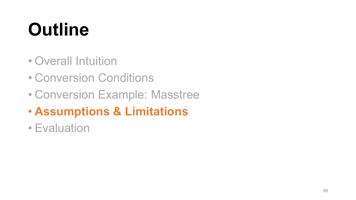## **Outline**

- Overall Intuition
- Conversion Conditions
- Conversion Example: Masstree
- **Assumptions & Limitations**
- Evaluation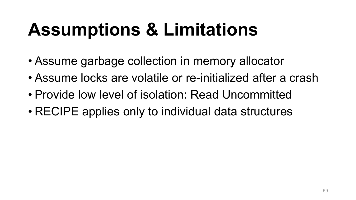## **Assumptions & Limitations**

- Assume garbage collection in memory allocator
- Assume locks are volatile or re-initialized after a crash
- Provide low level of isolation: Read Uncommitted
- RECIPE applies only to individual data structures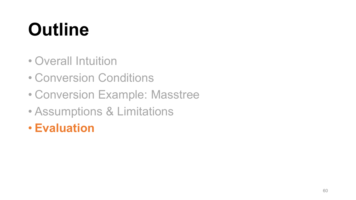## **Outline**

- Overall Intuition
- Conversion Conditions
- Conversion Example: Masstree
- Assumptions & Limitations
- **Evaluation**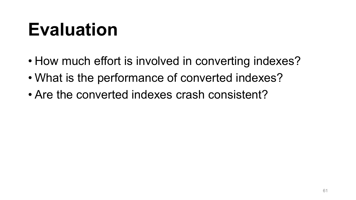- How much effort is involved in converting indexes?
- What is the performance of converted indexes?
- Are the converted indexes crash consistent?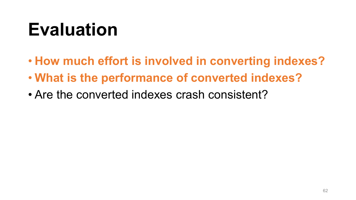- **How much effort is involved in converting indexes?**
- **What is the performance of converted indexes?**
- Are the converted indexes crash consistent?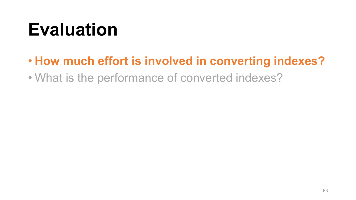#### • **How much effort is involved in converting indexes?**

• What is the performance of converted indexes?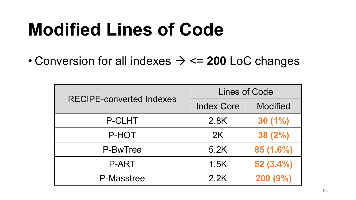### **Modified Lines of Code**

• Conversion for all indexes → <= **200** LoC changes

| <b>RECIPE-converted Indexes</b> | Lines of Code     |                 |
|---------------------------------|-------------------|-----------------|
|                                 | <b>Index Core</b> | <b>Modified</b> |
| P-CLHT                          | 2.8K              | $30(1\%)$       |
| P-HOT                           | 2K                | 38(2%)          |
| P-BwTree                        | 5.2K              | 85 (1.6%)       |
| <b>P-ART</b>                    | 1.5K              | 52(3.4%)        |
| P-Masstree                      | 2.2K              | 200(9%)         |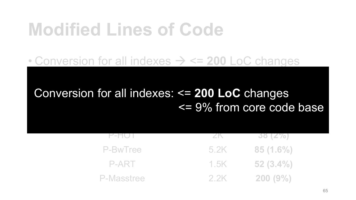### **Modified Lines of Code**

#### • Conversion for all indexes → <= **200** LoC changes

#### **RECIPTION CONVERTS** Conversion for all indexes: <= 200 LoC changes <= 9% from core code base

| $F-TU$     |      | 30 (27)     |
|------------|------|-------------|
| P-BwTree   | 5.2K | 85(1.6%)    |
| P-ART      | 1.5K | $-52(3.4%)$ |
| P-Masstree | 2.2K | 200(9%)     |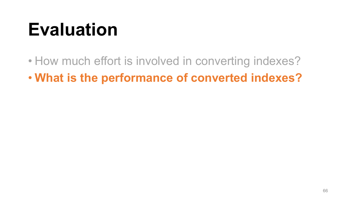• How much effort is involved in converting indexes?

• **What is the performance of converted indexes?**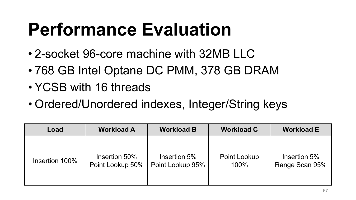### **Performance Evaluation**

- 2-socket 96-core machine with 32MB LLC
- 768 GB Intel Optane DC PMM, 378 GB DRAM
- YCSB with 16 threads
- Ordered/Unordered indexes, Integer/String keys

| Load           | <b>Workload A</b> | <b>Workload B</b> | <b>Workload C</b> | <b>Workload E</b> |
|----------------|-------------------|-------------------|-------------------|-------------------|
| Insertion 100% | Insertion 50%     | Insertion 5%      | Point Lookup      | Insertion 5%      |
|                | Point Lookup 50%  | Point Lookup 95%  | 100%              | Range Scan 95%    |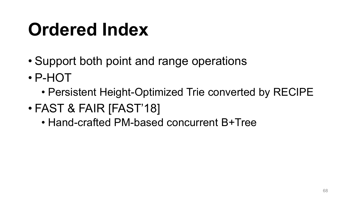### **Ordered Index**

- Support both point and range operations
- P-HOT
	- Persistent Height-Optimized Trie converted by RECIPE
- FAST & FAIR [FAST'18]
	- Hand-crafted PM-based concurrent B+Tree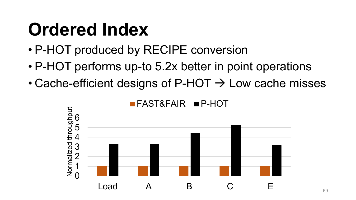### **Ordered Index**

- P-HOT produced by RECIPE conversion
- P-HOT performs up-to 5.2x better in point operations
- Cache-efficient designs of P-HOT  $\rightarrow$  Low cache misses



69